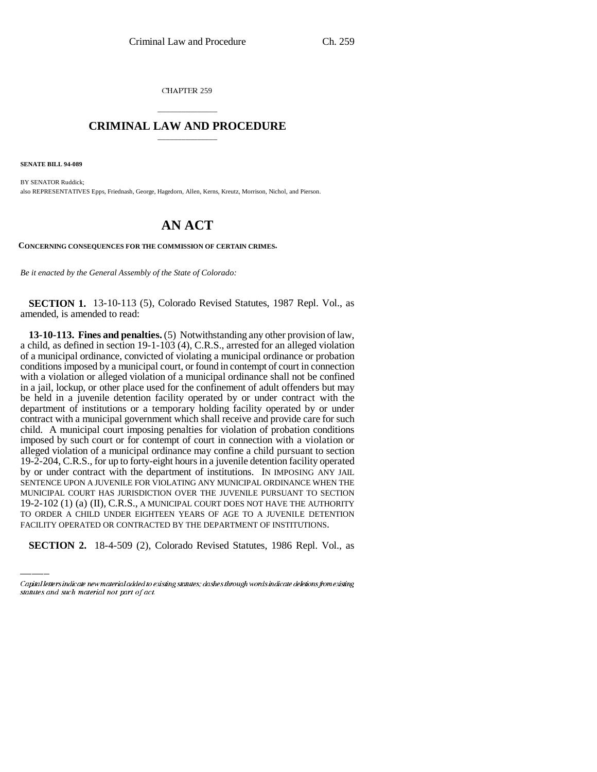CHAPTER 259

## \_\_\_\_\_\_\_\_\_\_\_\_\_\_\_ **CRIMINAL LAW AND PROCEDURE** \_\_\_\_\_\_\_\_\_\_\_\_\_\_\_

**SENATE BILL 94-089**

BY SENATOR Ruddick; also REPRESENTATIVES Epps, Friednash, George, Hagedorn, Allen, Kerns, Kreutz, Morrison, Nichol, and Pierson.

## **AN ACT**

**CONCERNING CONSEQUENCES FOR THE COMMISSION OF CERTAIN CRIMES.**

*Be it enacted by the General Assembly of the State of Colorado:*

**SECTION 1.** 13-10-113 (5), Colorado Revised Statutes, 1987 Repl. Vol., as amended, is amended to read:

19-2-102 (1) (a) (II), C.R.S., A MUNICIPAL COURT DOES NOT HAVE THE AUTHORITY **13-10-113. Fines and penalties.** (5) Notwithstanding any other provision of law, a child, as defined in section 19-1-103 (4), C.R.S., arrested for an alleged violation of a municipal ordinance, convicted of violating a municipal ordinance or probation conditions imposed by a municipal court, or found in contempt of court in connection with a violation or alleged violation of a municipal ordinance shall not be confined in a jail, lockup, or other place used for the confinement of adult offenders but may be held in a juvenile detention facility operated by or under contract with the department of institutions or a temporary holding facility operated by or under contract with a municipal government which shall receive and provide care for such child. A municipal court imposing penalties for violation of probation conditions imposed by such court or for contempt of court in connection with a violation or alleged violation of a municipal ordinance may confine a child pursuant to section 19-2-204, C.R.S., for up to forty-eight hours in a juvenile detention facility operated by or under contract with the department of institutions. IN IMPOSING ANY JAIL SENTENCE UPON A JUVENILE FOR VIOLATING ANY MUNICIPAL ORDINANCE WHEN THE MUNICIPAL COURT HAS JURISDICTION OVER THE JUVENILE PURSUANT TO SECTION TO ORDER A CHILD UNDER EIGHTEEN YEARS OF AGE TO A JUVENILE DETENTION FACILITY OPERATED OR CONTRACTED BY THE DEPARTMENT OF INSTITUTIONS.

**SECTION 2.** 18-4-509 (2), Colorado Revised Statutes, 1986 Repl. Vol., as

Capital letters indicate new material added to existing statutes; dashes through words indicate deletions from existing statutes and such material not part of act.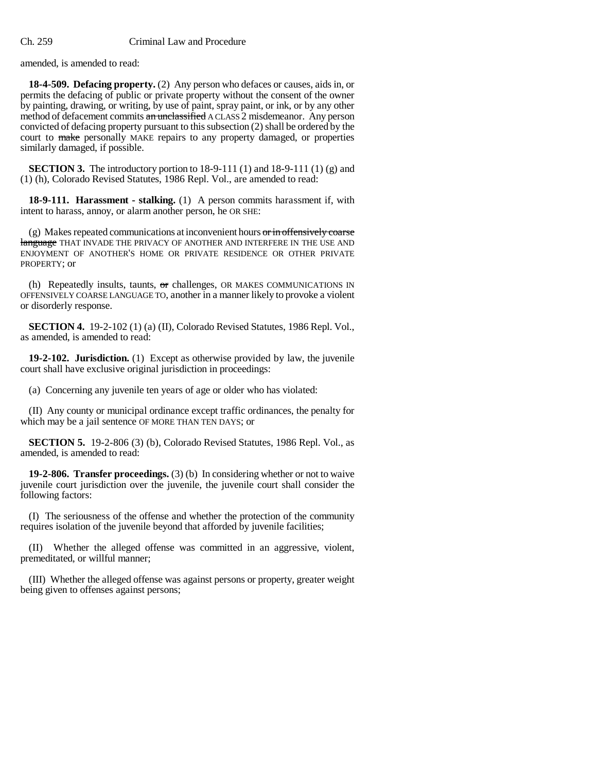amended, is amended to read:

**18-4-509. Defacing property.** (2) Any person who defaces or causes, aids in, or permits the defacing of public or private property without the consent of the owner by painting, drawing, or writing, by use of paint, spray paint, or ink, or by any other method of defacement commits an unclassified ACLASS 2 misdemeanor. Any person convicted of defacing property pursuant to this subsection (2) shall be ordered by the court to make personally MAKE repairs to any property damaged, or properties similarly damaged, if possible.

**SECTION 3.** The introductory portion to  $18-9-111(1)$  and  $18-9-111(1)$  (g) and (1) (h), Colorado Revised Statutes, 1986 Repl. Vol., are amended to read:

**18-9-111. Harassment - stalking.** (1) A person commits harassment if, with intent to harass, annoy, or alarm another person, he OR SHE:

 $(g)$  Makes repeated communications at inconvenient hours  $or$  in offensively coarse language THAT INVADE THE PRIVACY OF ANOTHER AND INTERFERE IN THE USE AND ENJOYMENT OF ANOTHER'S HOME OR PRIVATE RESIDENCE OR OTHER PRIVATE PROPERTY; or

(h) Repeatedly insults, taunts,  $\sigma$ r challenges, OR MAKES COMMUNICATIONS IN OFFENSIVELY COARSE LANGUAGE TO, another in a manner likely to provoke a violent or disorderly response.

**SECTION 4.** 19-2-102 (1) (a) (II), Colorado Revised Statutes, 1986 Repl. Vol., as amended, is amended to read:

**19-2-102. Jurisdiction.** (1) Except as otherwise provided by law, the juvenile court shall have exclusive original jurisdiction in proceedings:

(a) Concerning any juvenile ten years of age or older who has violated:

(II) Any county or municipal ordinance except traffic ordinances, the penalty for which may be a jail sentence OF MORE THAN TEN DAYS; or

**SECTION 5.** 19-2-806 (3) (b), Colorado Revised Statutes, 1986 Repl. Vol., as amended, is amended to read:

**19-2-806. Transfer proceedings.** (3) (b) In considering whether or not to waive juvenile court jurisdiction over the juvenile, the juvenile court shall consider the following factors:

(I) The seriousness of the offense and whether the protection of the community requires isolation of the juvenile beyond that afforded by juvenile facilities;

(II) Whether the alleged offense was committed in an aggressive, violent, premeditated, or willful manner;

(III) Whether the alleged offense was against persons or property, greater weight being given to offenses against persons;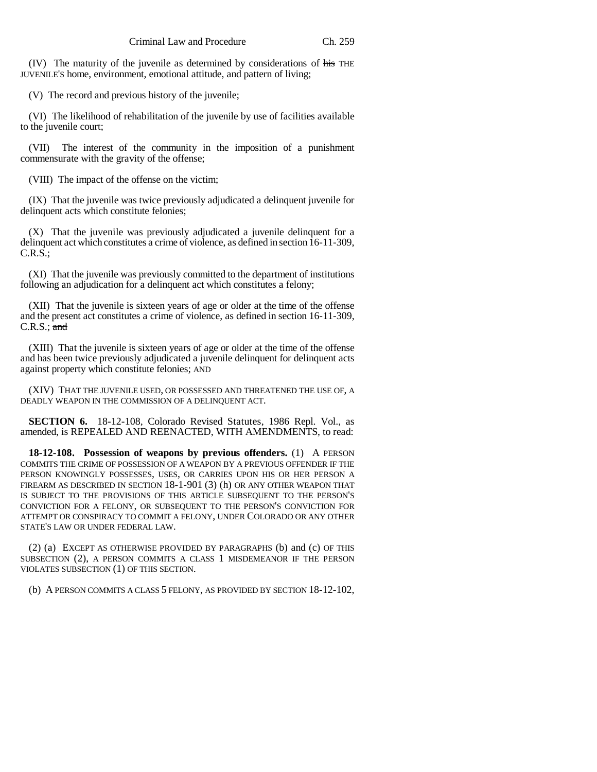(IV) The maturity of the juvenile as determined by considerations of his THE JUVENILE'S home, environment, emotional attitude, and pattern of living;

(V) The record and previous history of the juvenile;

(VI) The likelihood of rehabilitation of the juvenile by use of facilities available to the juvenile court;

(VII) The interest of the community in the imposition of a punishment commensurate with the gravity of the offense;

(VIII) The impact of the offense on the victim;

(IX) That the juvenile was twice previously adjudicated a delinquent juvenile for delinquent acts which constitute felonies;

(X) That the juvenile was previously adjudicated a juvenile delinquent for a delinquent act which constitutes a crime of violence, as defined in section 16-11-309,  $C.R.S.$ ;

(XI) That the juvenile was previously committed to the department of institutions following an adjudication for a delinquent act which constitutes a felony;

(XII) That the juvenile is sixteen years of age or older at the time of the offense and the present act constitutes a crime of violence, as defined in section 16-11-309,  $C.R.S.; and$ 

(XIII) That the juvenile is sixteen years of age or older at the time of the offense and has been twice previously adjudicated a juvenile delinquent for delinquent acts against property which constitute felonies; AND

(XIV) THAT THE JUVENILE USED, OR POSSESSED AND THREATENED THE USE OF, A DEADLY WEAPON IN THE COMMISSION OF A DELINQUENT ACT.

**SECTION 6.** 18-12-108, Colorado Revised Statutes, 1986 Repl. Vol., as amended, is REPEALED AND REENACTED, WITH AMENDMENTS, to read:

**18-12-108. Possession of weapons by previous offenders.** (1) A PERSON COMMITS THE CRIME OF POSSESSION OF A WEAPON BY A PREVIOUS OFFENDER IF THE PERSON KNOWINGLY POSSESSES, USES, OR CARRIES UPON HIS OR HER PERSON A FIREARM AS DESCRIBED IN SECTION 18-1-901 (3) (h) OR ANY OTHER WEAPON THAT IS SUBJECT TO THE PROVISIONS OF THIS ARTICLE SUBSEQUENT TO THE PERSON'S CONVICTION FOR A FELONY, OR SUBSEQUENT TO THE PERSON'S CONVICTION FOR ATTEMPT OR CONSPIRACY TO COMMIT A FELONY, UNDER COLORADO OR ANY OTHER STATE'S LAW OR UNDER FEDERAL LAW.

(2) (a) EXCEPT AS OTHERWISE PROVIDED BY PARAGRAPHS (b) and (c) OF THIS SUBSECTION (2), A PERSON COMMITS A CLASS 1 MISDEMEANOR IF THE PERSON VIOLATES SUBSECTION (1) OF THIS SECTION.

(b) A PERSON COMMITS A CLASS 5 FELONY, AS PROVIDED BY SECTION 18-12-102,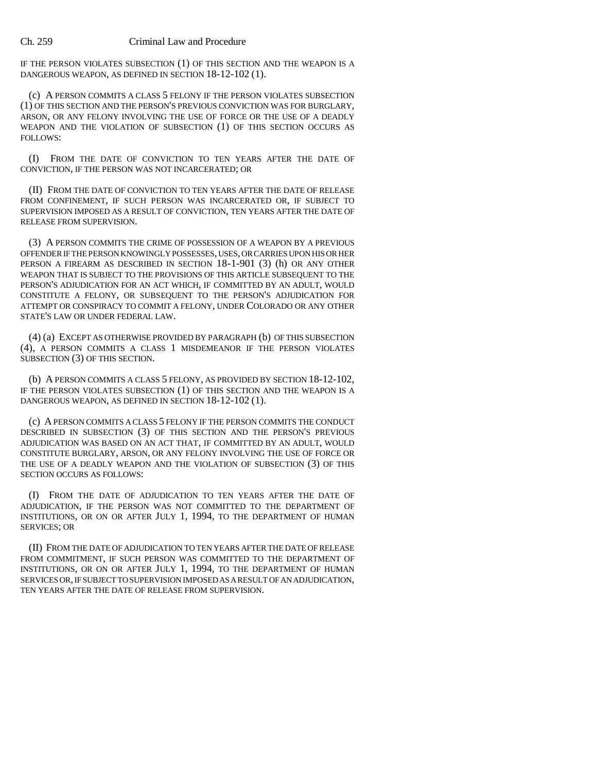## Ch. 259 Criminal Law and Procedure

IF THE PERSON VIOLATES SUBSECTION (1) OF THIS SECTION AND THE WEAPON IS A DANGEROUS WEAPON, AS DEFINED IN SECTION 18-12-102 (1).

(c) A PERSON COMMITS A CLASS 5 FELONY IF THE PERSON VIOLATES SUBSECTION (1) OF THIS SECTION AND THE PERSON'S PREVIOUS CONVICTION WAS FOR BURGLARY, ARSON, OR ANY FELONY INVOLVING THE USE OF FORCE OR THE USE OF A DEADLY WEAPON AND THE VIOLATION OF SUBSECTION (1) OF THIS SECTION OCCURS AS FOLLOWS:

(I) FROM THE DATE OF CONVICTION TO TEN YEARS AFTER THE DATE OF CONVICTION, IF THE PERSON WAS NOT INCARCERATED; OR

(II) FROM THE DATE OF CONVICTION TO TEN YEARS AFTER THE DATE OF RELEASE FROM CONFINEMENT, IF SUCH PERSON WAS INCARCERATED OR, IF SUBJECT TO SUPERVISION IMPOSED AS A RESULT OF CONVICTION, TEN YEARS AFTER THE DATE OF RELEASE FROM SUPERVISION.

(3) A PERSON COMMITS THE CRIME OF POSSESSION OF A WEAPON BY A PREVIOUS OFFENDER IF THE PERSON KNOWINGLY POSSESSES, USES, OR CARRIES UPON HIS OR HER PERSON A FIREARM AS DESCRIBED IN SECTION 18-1-901 (3) (h) OR ANY OTHER WEAPON THAT IS SUBJECT TO THE PROVISIONS OF THIS ARTICLE SUBSEQUENT TO THE PERSON'S ADJUDICATION FOR AN ACT WHICH, IF COMMITTED BY AN ADULT, WOULD CONSTITUTE A FELONY, OR SUBSEQUENT TO THE PERSON'S ADJUDICATION FOR ATTEMPT OR CONSPIRACY TO COMMIT A FELONY, UNDER COLORADO OR ANY OTHER STATE'S LAW OR UNDER FEDERAL LAW.

(4) (a) EXCEPT AS OTHERWISE PROVIDED BY PARAGRAPH (b) OF THIS SUBSECTION (4), A PERSON COMMITS A CLASS 1 MISDEMEANOR IF THE PERSON VIOLATES SUBSECTION (3) OF THIS SECTION.

(b) A PERSON COMMITS A CLASS 5 FELONY, AS PROVIDED BY SECTION 18-12-102, IF THE PERSON VIOLATES SUBSECTION (1) OF THIS SECTION AND THE WEAPON IS A DANGEROUS WEAPON, AS DEFINED IN SECTION 18-12-102 (1).

(c) A PERSON COMMITS A CLASS 5 FELONY IF THE PERSON COMMITS THE CONDUCT DESCRIBED IN SUBSECTION (3) OF THIS SECTION AND THE PERSON'S PREVIOUS ADJUDICATION WAS BASED ON AN ACT THAT, IF COMMITTED BY AN ADULT, WOULD CONSTITUTE BURGLARY, ARSON, OR ANY FELONY INVOLVING THE USE OF FORCE OR THE USE OF A DEADLY WEAPON AND THE VIOLATION OF SUBSECTION (3) OF THIS SECTION OCCURS AS FOLLOWS:

(I) FROM THE DATE OF ADJUDICATION TO TEN YEARS AFTER THE DATE OF ADJUDICATION, IF THE PERSON WAS NOT COMMITTED TO THE DEPARTMENT OF INSTITUTIONS, OR ON OR AFTER JULY 1, 1994, TO THE DEPARTMENT OF HUMAN SERVICES; OR

(II) FROM THE DATE OF ADJUDICATION TO TEN YEARS AFTER THE DATE OF RELEASE FROM COMMITMENT, IF SUCH PERSON WAS COMMITTED TO THE DEPARTMENT OF INSTITUTIONS, OR ON OR AFTER JULY 1, 1994, TO THE DEPARTMENT OF HUMAN SERVICES OR, IF SUBJECT TO SUPERVISION IMPOSED AS A RESULT OF AN ADJUDICATION, TEN YEARS AFTER THE DATE OF RELEASE FROM SUPERVISION.